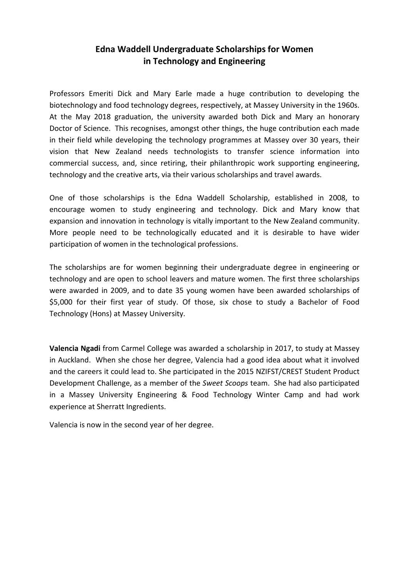## Edna Waddell Undergraduate Scholarships for Women in Technology and Engineering

Professors Emeriti Dick and Mary Earle made a huge contribution to developing the biotechnology and food technology degrees, respectively, at Massey University in the 1960s. At the May 2018 graduation, the university awarded both Dick and Mary an honorary Doctor of Science. This recognises, amongst other things, the huge contribution each made in their field while developing the technology programmes at Massey over 30 years, their vision that New Zealand needs technologists to transfer science information into commercial success, and, since retiring, their philanthropic work supporting engineering, technology and the creative arts, via their various scholarships and travel awards.

One of those scholarships is the Edna Waddell Scholarship, established in 2008, to encourage women to study engineering and technology. Dick and Mary know that expansion and innovation in technology is vitally important to the New Zealand community. More people need to be technologically educated and it is desirable to have wider participation of women in the technological professions.

The scholarships are for women beginning their undergraduate degree in engineering or technology and are open to school leavers and mature women. The first three scholarships were awarded in 2009, and to date 35 young women have been awarded scholarships of \$5,000 for their first year of study. Of those, six chose to study a Bachelor of Food Technology (Hons) at Massey University.

Valencia Ngadi from Carmel College was awarded a scholarship in 2017, to study at Massey in Auckland. When she chose her degree, Valencia had a good idea about what it involved and the careers it could lead to. She participated in the 2015 NZIFST/CREST Student Product Development Challenge, as a member of the Sweet Scoops team. She had also participated in a Massey University Engineering & Food Technology Winter Camp and had work experience at Sherratt Ingredients.

Valencia is now in the second year of her degree.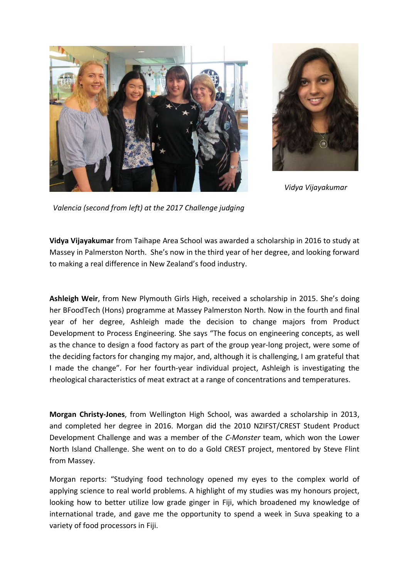



Vidya Vijayakumar

Valencia (second from left) at the 2017 Challenge judging

Vidya Vijayakumar from Taihape Area School was awarded a scholarship in 2016 to study at Massey in Palmerston North. She's now in the third year of her degree, and looking forward to making a real difference in New Zealand's food industry.

Ashleigh Weir, from New Plymouth Girls High, received a scholarship in 2015. She's doing her BFoodTech (Hons) programme at Massey Palmerston North. Now in the fourth and final year of her degree, Ashleigh made the decision to change majors from Product Development to Process Engineering. She says "The focus on engineering concepts, as well as the chance to design a food factory as part of the group year-long project, were some of the deciding factors for changing my major, and, although it is challenging, I am grateful that I made the change". For her fourth-year individual project, Ashleigh is investigating the rheological characteristics of meat extract at a range of concentrations and temperatures.

Morgan Christy-Jones, from Wellington High School, was awarded a scholarship in 2013, and completed her degree in 2016. Morgan did the 2010 NZIFST/CREST Student Product Development Challenge and was a member of the C-Monster team, which won the Lower North Island Challenge. She went on to do a Gold CREST project, mentored by Steve Flint from Massey.

Morgan reports: "Studying food technology opened my eyes to the complex world of applying science to real world problems. A highlight of my studies was my honours project, looking how to better utilize low grade ginger in Fiji, which broadened my knowledge of international trade, and gave me the opportunity to spend a week in Suva speaking to a variety of food processors in Fiji.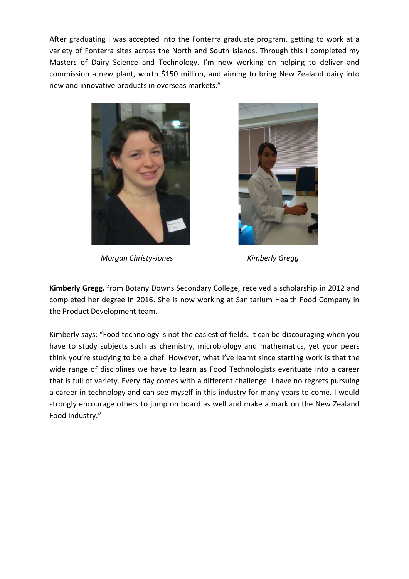After graduating I was accepted into the Fonterra graduate program, getting to work at a variety of Fonterra sites across the North and South Islands. Through this I completed my Masters of Dairy Science and Technology. I'm now working on helping to deliver and commission a new plant, worth \$150 million, and aiming to bring New Zealand dairy into new and innovative products in overseas markets."



Morgan Christy-Jones **Kimberly Gregg** 



Kimberly Gregg, from Botany Downs Secondary College, received a scholarship in 2012 and completed her degree in 2016. She is now working at Sanitarium Health Food Company in the Product Development team.

Kimberly says: "Food technology is not the easiest of fields. It can be discouraging when you have to study subjects such as chemistry, microbiology and mathematics, yet your peers think you're studying to be a chef. However, what I've learnt since starting work is that the wide range of disciplines we have to learn as Food Technologists eventuate into a career that is full of variety. Every day comes with a different challenge. I have no regrets pursuing a career in technology and can see myself in this industry for many years to come. I would strongly encourage others to jump on board as well and make a mark on the New Zealand Food Industry."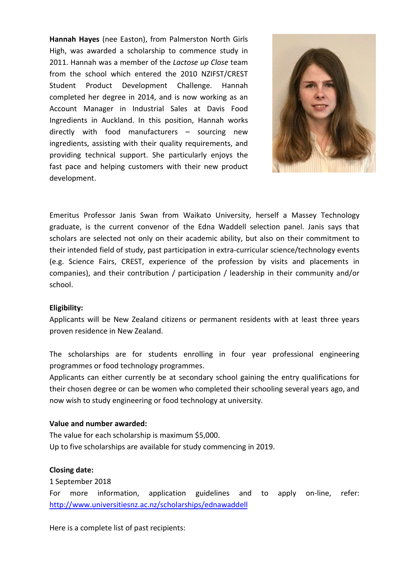Hannah Hayes (nee Easton), from Palmerston North Girls High, was awarded a scholarship to commence study in 2011. Hannah was a member of the Lactose up Close team from the school which entered the 2010 NZIFST/CREST Student Product Development Challenge. Hannah completed her degree in 2014, and is now working as an Account Manager in Industrial Sales at Davis Food Ingredients in Auckland. In this position, Hannah works directly with food manufacturers – sourcing new ingredients, assisting with their quality requirements, and providing technical support. She particularly enjoys the fast pace and helping customers with their new product development.



Emeritus Professor Janis Swan from Waikato University, herself a Massey Technology graduate, is the current convenor of the Edna Waddell selection panel. Janis says that scholars are selected not only on their academic ability, but also on their commitment to their intended field of study, past participation in extra-curricular science/technology events (e.g. Science Fairs, CREST, experience of the profession by visits and placements in companies), and their contribution / participation / leadership in their community and/or school.

## Eligibility:

Applicants will be New Zealand citizens or permanent residents with at least three years proven residence in New Zealand.

The scholarships are for students enrolling in four year professional engineering programmes or food technology programmes.

Applicants can either currently be at secondary school gaining the entry qualifications for their chosen degree or can be women who completed their schooling several years ago, and now wish to study engineering or food technology at university.

## Value and number awarded:

The value for each scholarship is maximum \$5,000. Up to five scholarships are available for study commencing in 2019.

## Closing date:

1 September 2018

For more information, application guidelines and to apply on-line, refer: http://www.universitiesnz.ac.nz/scholarships/ednawaddell

Here is a complete list of past recipients: